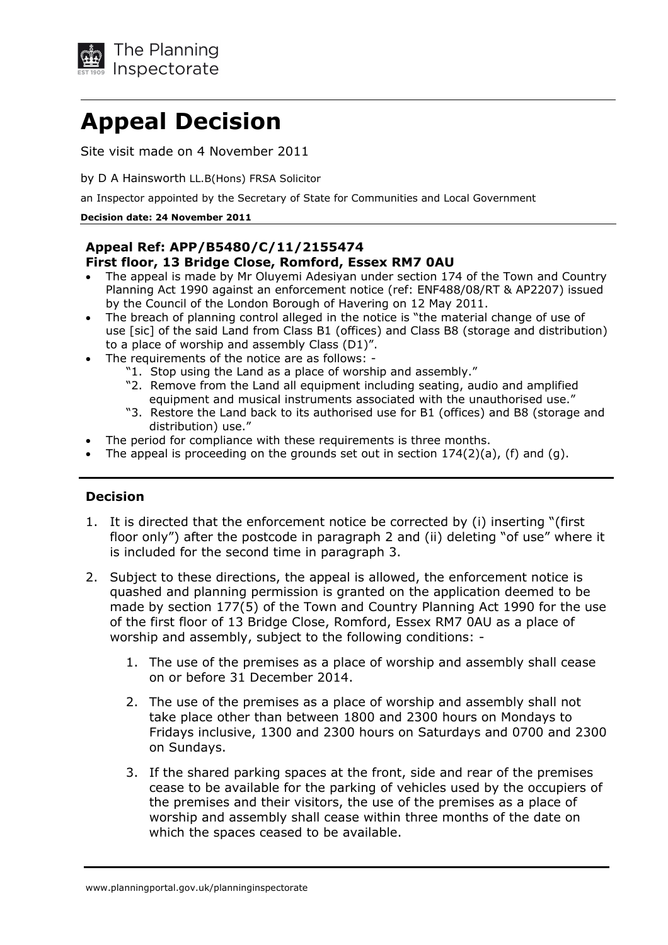

# **Appeal Decision**

Site visit made on 4 November 2011

by D A Hainsworth LL.B(Hons) FRSA Solicitor

an Inspector appointed by the Secretary of State for Communities and Local Government

#### **Decision date: 24 November 2011**

# **Appeal Ref: APP/B5480/C/11/2155474 First floor, 13 Bridge Close, Romford, Essex RM7 0AU**

- The appeal is made by Mr Oluyemi Adesiyan under section 174 of the Town and Country Planning Act 1990 against an enforcement notice (ref: ENF488/08/RT & AP2207) issued by the Council of the London Borough of Havering on 12 May 2011.
- The breach of planning control alleged in the notice is "the material change of use of use [sic] of the said Land from Class B1 (offices) and Class B8 (storage and distribution) to a place of worship and assembly Class (D1)".
- The requirements of the notice are as follows:
	- "1. Stop using the Land as a place of worship and assembly."
	- "2. Remove from the Land all equipment including seating, audio and amplified equipment and musical instruments associated with the unauthorised use."
	- "3. Restore the Land back to its authorised use for B1 (offices) and B8 (storage and distribution) use."
- The period for compliance with these requirements is three months.
- The appeal is proceeding on the grounds set out in section  $174(2)(a)$ , (f) and (g).

### **Decision**

- 1. It is directed that the enforcement notice be corrected by (i) inserting "(first floor only") after the postcode in paragraph 2 and (ii) deleting "of use" where it is included for the second time in paragraph 3.
- 2. Subject to these directions, the appeal is allowed, the enforcement notice is quashed and planning permission is granted on the application deemed to be made by section 177(5) of the Town and Country Planning Act 1990 for the use of the first floor of 13 Bridge Close, Romford, Essex RM7 0AU as a place of worship and assembly, subject to the following conditions:
	- 1. The use of the premises as a place of worship and assembly shall cease on or before 31 December 2014.
	- take place other than between 1800 and 2300 hours on Mondays to Fridays inclusive, 1300 and 2300 hours on Saturdays and 0700 and 2300 on Sundays. 2. The use of the premises as a place of worship and assembly shall not
	- 3. If the shared parking spaces at the front, side and rear of the premises cease to be available for the parking of vehicles used by the occupiers of the premises and their visitors, the use of the premises as a place of worship and assembly shall cease within three months of the date on which the spaces ceased to be available.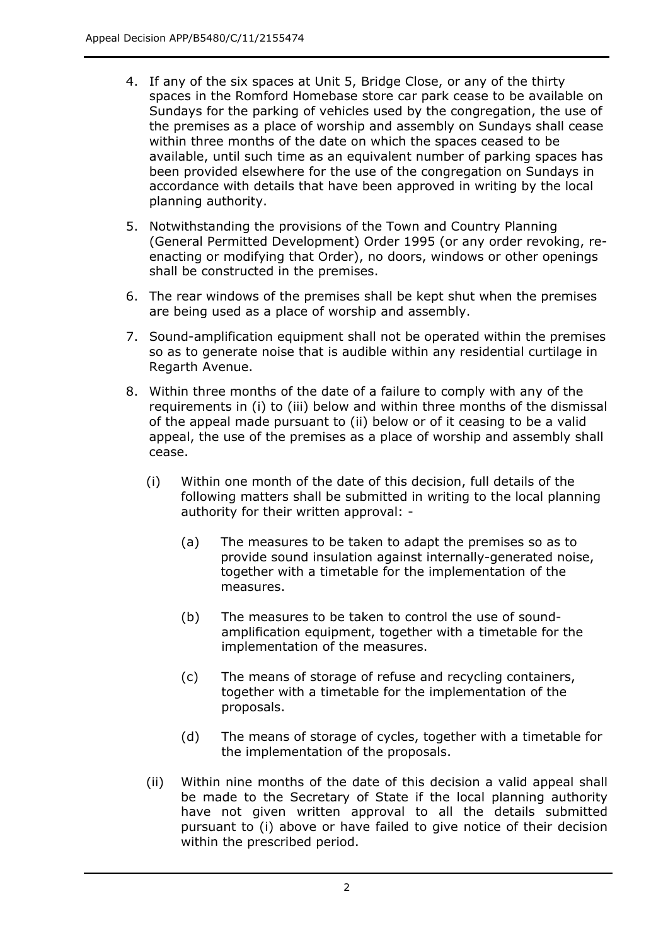- 4. If any of the six spaces at Unit 5, Bridge Close, or any of the thirty spaces in the Romford Homebase store car park cease to be available on Sundays for the parking of vehicles used by the congregation, the use of the premises as a place of worship and assembly on Sundays shall cease within three months of the date on which the spaces ceased to be available, until such time as an equivalent number of parking spaces has been provided elsewhere for the use of the congregation on Sundays in accordance with details that have been approved in writing by the local planning authority.
- 5. Notwithstanding the provisions of the Town and Country Planning (General Permitted Development) Order 1995 (or any order revoking, re- enacting or modifying that Order), no doors, windows or other openings shall be constructed in the premises.
- 6. The rear windows of the premises shall be kept shut when the premises are being used as a place of worship and assembly.
- 7. Sound-amplification equipment shall not be operated within the premises so as to generate noise that is audible within any residential curtilage in Regarth Avenue.
- 8. Within three months of the date of a failure to comply with any of the requirements in (i) to (iii) below and within three months of the dismissal of the appeal made pursuant to (ii) below or of it ceasing to be a valid appeal, the use of the premises as a place of worship and assembly shall cease.
	- (i) Within one month of the date of this decision, full details of the following matters shall be submitted in writing to the local planning authority for their written approval:
		- (a) The measures to be taken to adapt the premises so as to provide sound insulation against internally-generated noise, together with a timetable for the implementation of the measures.
		- (b) The measures to be taken to control the use of sound- amplification equipment, together with a timetable for the implementation of the measures.
		- (c) The means of storage of refuse and recycling containers, together with a timetable for the implementation of the proposals.
		- (d) The means of storage of cycles, together with a timetable for the implementation of the proposals.
	- (ii) Within nine months of the date of this decision a valid appeal shall be made to the Secretary of State if the local planning authority have not given written approval to all the details submitted pursuant to (i) above or have failed to give notice of their decision within the prescribed period.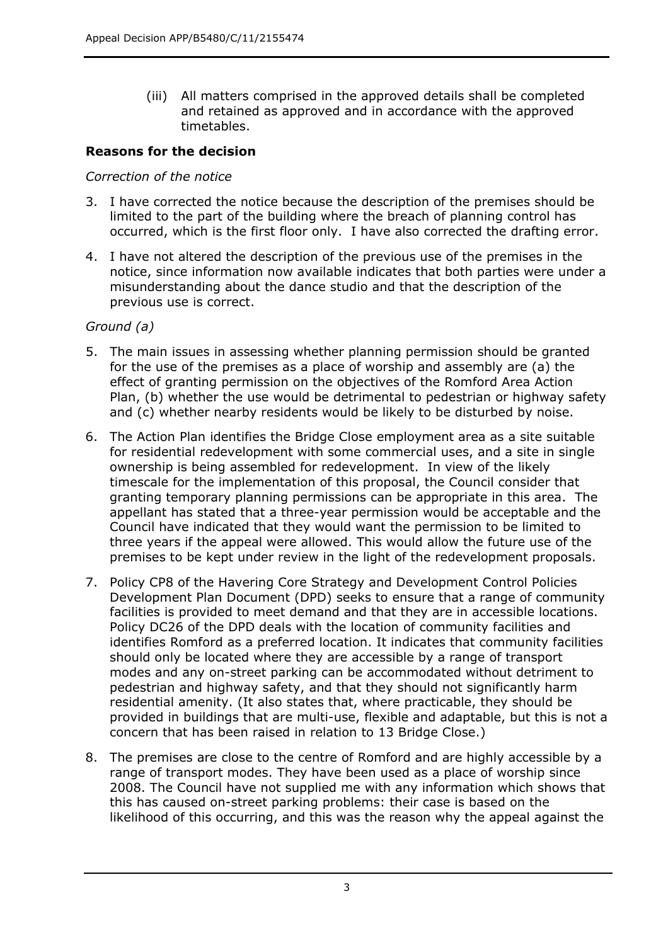(iii) All matters comprised in the approved details shall be completed and retained as approved and in accordance with the approved timetables.

## **Reasons for the decision**

#### *Correction of the notice*

- 3. I have corrected the notice because the description of the premises should be limited to the part of the building where the breach of planning control has occurred, which is the first floor only. I have also corrected the drafting error.
- 4. I have not altered the description of the previous use of the premises in the notice, since information now available indicates that both parties were under a misunderstanding about the dance studio and that the description of the previous use is correct.

### *Ground (a)*

- 5. The main issues in assessing whether planning permission should be granted for the use of the premises as a place of worship and assembly are (a) the effect of granting permission on the objectives of the Romford Area Action Plan, (b) whether the use would be detrimental to pedestrian or highway safety and (c) whether nearby residents would be likely to be disturbed by noise.
- 6. The Action Plan identifies the Bridge Close employment area as a site suitable for residential redevelopment with some commercial uses, and a site in single ownership is being assembled for redevelopment. In view of the likely timescale for the implementation of this proposal, the Council consider that granting temporary planning permissions can be appropriate in this area. The appellant has stated that a three-year permission would be acceptable and the Council have indicated that they would want the permission to be limited to three years if the appeal were allowed. This would allow the future use of the premises to be kept under review in the light of the redevelopment proposals.
- 7. Policy CP8 of the Havering Core Strategy and Development Control Policies Development Plan Document (DPD) seeks to ensure that a range of community facilities is provided to meet demand and that they are in accessible locations. Policy DC26 of the DPD deals with the location of community facilities and identifies Romford as a preferred location. It indicates that community facilities should only be located where they are accessible by a range of transport modes and any on-street parking can be accommodated without detriment to pedestrian and highway safety, and that they should not significantly harm residential amenity. (It also states that, where practicable, they should be provided in buildings that are multi-use, flexible and adaptable, but this is not a concern that has been raised in relation to 13 Bridge Close.)
- 8. The premises are close to the centre of Romford and are highly accessible by a range of transport modes. They have been used as a place of worship since 2008. The Council have not supplied me with any information which shows that this has caused on-street parking problems: their case is based on the likelihood of this occurring, and this was the reason why the appeal against the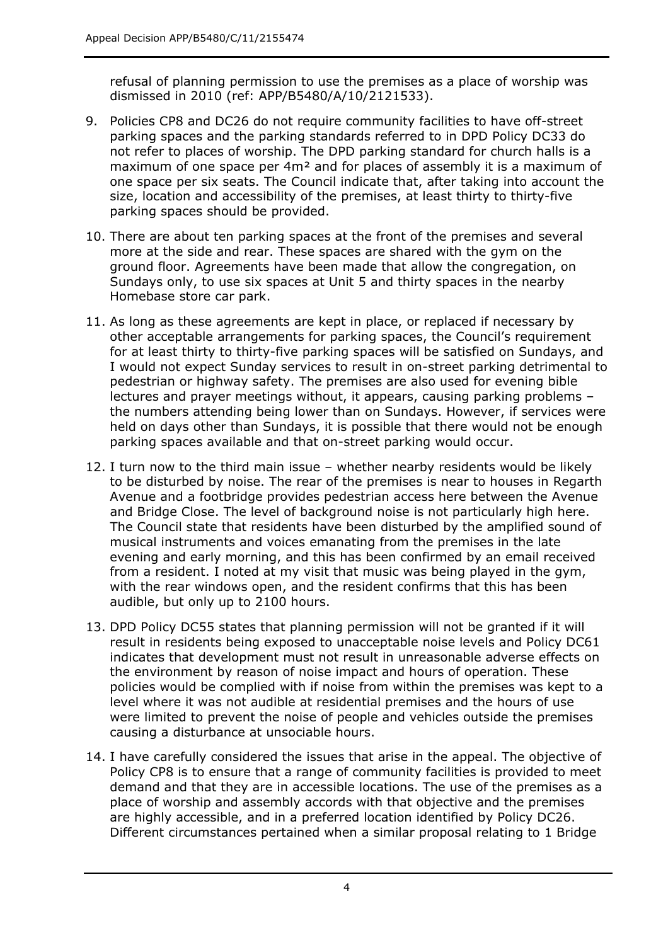refusal of planning permission to use the premises as a place of worship was dismissed in 2010 (ref: APP/B5480/A/10/2121533).

- 9. Policies CP8 and DC26 do not require community facilities to have off-street parking spaces and the parking standards referred to in DPD Policy DC33 do not refer to places of worship. The DPD parking standard for church halls is a maximum of one space per 4m² and for places of assembly it is a maximum of one space per six seats. The Council indicate that, after taking into account the size, location and accessibility of the premises, at least thirty to thirty-five parking spaces should be provided.
- 10. There are about ten parking spaces at the front of the premises and several more at the side and rear. These spaces are shared with the gym on the ground floor. Agreements have been made that allow the congregation, on Sundays only, to use six spaces at Unit 5 and thirty spaces in the nearby Homebase store car park.
- 11. As long as these agreements are kept in place, or replaced if necessary by other acceptable arrangements for parking spaces, the Council's requirement for at least thirty to thirty-five parking spaces will be satisfied on Sundays, and I would not expect Sunday services to result in on-street parking detrimental to pedestrian or highway safety. The premises are also used for evening bible lectures and prayer meetings without, it appears, causing parking problems – the numbers attending being lower than on Sundays. However, if services were held on days other than Sundays, it is possible that there would not be enough parking spaces available and that on-street parking would occur.
- 12. I turn now to the third main issue whether nearby residents would be likely to be disturbed by noise. The rear of the premises is near to houses in Regarth Avenue and a footbridge provides pedestrian access here between the Avenue and Bridge Close. The level of background noise is not particularly high here. The Council state that residents have been disturbed by the amplified sound of musical instruments and voices emanating from the premises in the late evening and early morning, and this has been confirmed by an email received from a resident. I noted at my visit that music was being played in the gym, with the rear windows open, and the resident confirms that this has been audible, but only up to 2100 hours.
- 13. DPD Policy DC55 states that planning permission will not be granted if it will result in residents being exposed to unacceptable noise levels and Policy DC61 indicates that development must not result in unreasonable adverse effects on the environment by reason of noise impact and hours of operation. These policies would be complied with if noise from within the premises was kept to a level where it was not audible at residential premises and the hours of use were limited to prevent the noise of people and vehicles outside the premises causing a disturbance at unsociable hours.
- 14. I have carefully considered the issues that arise in the appeal. The objective of Policy CP8 is to ensure that a range of community facilities is provided to meet demand and that they are in accessible locations. The use of the premises as a place of worship and assembly accords with that objective and the premises are highly accessible, and in a preferred location identified by Policy DC26. Different circumstances pertained when a similar proposal relating to 1 Bridge